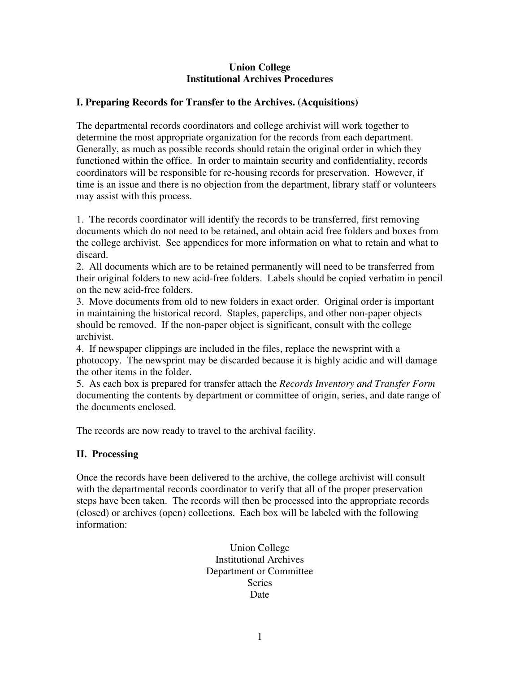#### **Union College Institutional Archives Procedures**

#### **I. Preparing Records for Transfer to the Archives. (Acquisitions)**

The departmental records coordinators and college archivist will work together to determine the most appropriate organization for the records from each department. Generally, as much as possible records should retain the original order in which they functioned within the office. In order to maintain security and confidentiality, records coordinators will be responsible for re-housing records for preservation. However, if time is an issue and there is no objection from the department, library staff or volunteers may assist with this process.

1. The records coordinator will identify the records to be transferred, first removing documents which do not need to be retained, and obtain acid free folders and boxes from the college archivist. See appendices for more information on what to retain and what to discard.

2. All documents which are to be retained permanently will need to be transferred from their original folders to new acid-free folders. Labels should be copied verbatim in pencil on the new acid-free folders.

3. Move documents from old to new folders in exact order. Original order is important in maintaining the historical record. Staples, paperclips, and other non-paper objects should be removed. If the non-paper object is significant, consult with the college archivist.

4. If newspaper clippings are included in the files, replace the newsprint with a photocopy. The newsprint may be discarded because it is highly acidic and will damage the other items in the folder.

5. As each box is prepared for transfer attach the *Records Inventory and Transfer Form* documenting the contents by department or committee of origin, series, and date range of the documents enclosed.

The records are now ready to travel to the archival facility.

#### **II. Processing**

Once the records have been delivered to the archive, the college archivist will consult with the departmental records coordinator to verify that all of the proper preservation steps have been taken. The records will then be processed into the appropriate records (closed) or archives (open) collections. Each box will be labeled with the following information:

> Union College Institutional Archives Department or Committee Series Date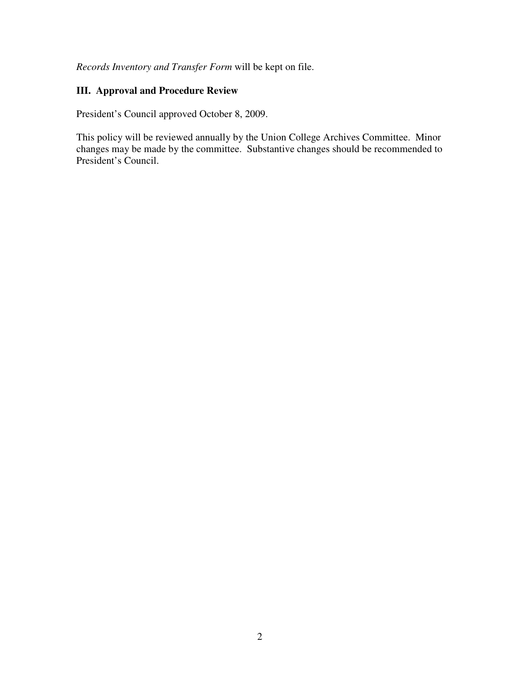*Records Inventory and Transfer Form* will be kept on file.

# **III. Approval and Procedure Review**

President's Council approved October 8, 2009.

This policy will be reviewed annually by the Union College Archives Committee. Minor changes may be made by the committee. Substantive changes should be recommended to President's Council.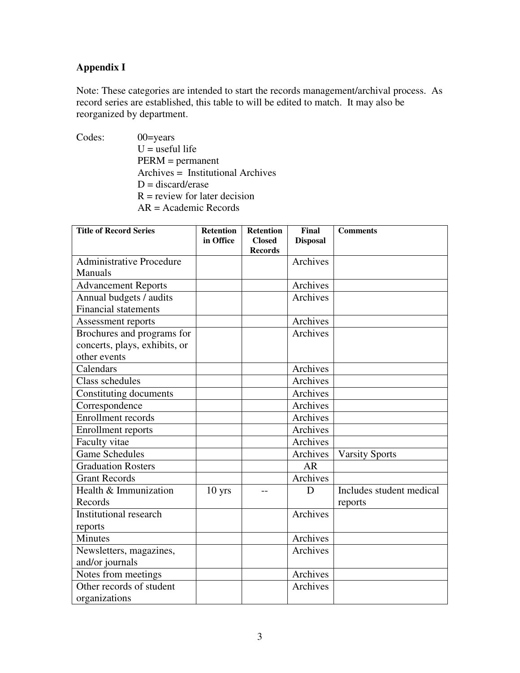# **Appendix I**

Note: These categories are intended to start the records management/archival process. As record series are established, this table to will be edited to match. It may also be reorganized by department.

Codes: 00=years  $U =$  useful life PERM = permanent Archives = Institutional Archives  $D =$  discard/erase  $R$  = review for later decision AR = Academic Records

| <b>Title of Record Series</b>   | <b>Retention</b>  | <b>Retention</b> | Final           | <b>Comments</b>          |
|---------------------------------|-------------------|------------------|-----------------|--------------------------|
|                                 | in Office         | <b>Closed</b>    | <b>Disposal</b> |                          |
|                                 |                   | <b>Records</b>   |                 |                          |
| <b>Administrative Procedure</b> |                   |                  | Archives        |                          |
| <b>Manuals</b>                  |                   |                  |                 |                          |
| <b>Advancement Reports</b>      |                   |                  | Archives        |                          |
| Annual budgets / audits         |                   |                  | Archives        |                          |
| <b>Financial statements</b>     |                   |                  |                 |                          |
| Assessment reports              |                   |                  | Archives        |                          |
| Brochures and programs for      |                   |                  | Archives        |                          |
| concerts, plays, exhibits, or   |                   |                  |                 |                          |
| other events                    |                   |                  |                 |                          |
| Calendars                       |                   |                  | Archives        |                          |
| Class schedules                 |                   |                  | Archives        |                          |
| Constituting documents          |                   |                  | Archives        |                          |
| Correspondence                  |                   |                  | Archives        |                          |
| <b>Enrollment</b> records       |                   |                  | Archives        |                          |
| Enrollment reports              |                   |                  | Archives        |                          |
| Faculty vitae                   |                   |                  | Archives        |                          |
| <b>Game Schedules</b>           |                   |                  | Archives        | <b>Varsity Sports</b>    |
| <b>Graduation Rosters</b>       |                   |                  | <b>AR</b>       |                          |
| <b>Grant Records</b>            |                   |                  | Archives        |                          |
| Health & Immunization           | 10 <sub>yrs</sub> | --               | D               | Includes student medical |
| Records                         |                   |                  |                 | reports                  |
| <b>Institutional research</b>   |                   |                  | Archives        |                          |
| reports                         |                   |                  |                 |                          |
| Minutes                         |                   |                  | Archives        |                          |
| Newsletters, magazines,         |                   |                  | Archives        |                          |
| and/or journals                 |                   |                  |                 |                          |
| Notes from meetings             |                   |                  | Archives        |                          |
| Other records of student        |                   |                  | Archives        |                          |
| organizations                   |                   |                  |                 |                          |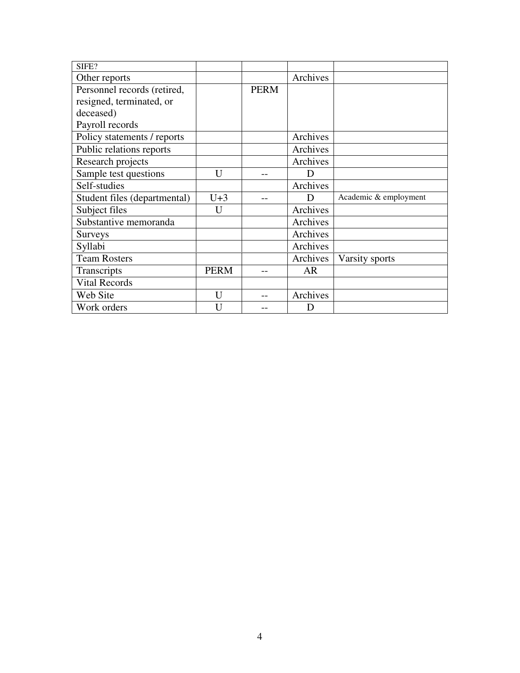| SIFE?                        |              |             |           |                       |
|------------------------------|--------------|-------------|-----------|-----------------------|
| Other reports                |              |             | Archives  |                       |
| Personnel records (retired,  |              | <b>PERM</b> |           |                       |
| resigned, terminated, or     |              |             |           |                       |
| deceased)                    |              |             |           |                       |
| Payroll records              |              |             |           |                       |
| Policy statements / reports  |              |             | Archives  |                       |
| Public relations reports     |              |             | Archives  |                       |
| Research projects            |              |             | Archives  |                       |
| Sample test questions        | $\mathbf{U}$ | --          | D         |                       |
| Self-studies                 |              |             | Archives  |                       |
| Student files (departmental) | $U+3$        |             | D         | Academic & employment |
| Subject files                | U            |             | Archives  |                       |
| Substantive memoranda        |              |             | Archives  |                       |
| <b>Surveys</b>               |              |             | Archives  |                       |
| Syllabi                      |              |             | Archives  |                       |
| <b>Team Rosters</b>          |              |             | Archives  | Varsity sports        |
| Transcripts                  | <b>PERM</b>  |             | <b>AR</b> |                       |
| <b>Vital Records</b>         |              |             |           |                       |
| Web Site                     | $\mathbf{U}$ |             | Archives  |                       |
| Work orders                  | U            |             | D         |                       |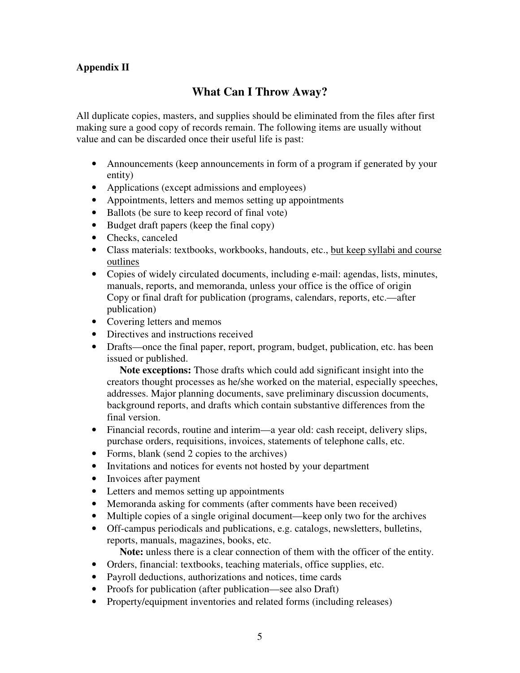### **Appendix II**

# **What Can I Throw Away?**

All duplicate copies, masters, and supplies should be eliminated from the files after first making sure a good copy of records remain. The following items are usually without value and can be discarded once their useful life is past:

- Announcements (keep announcements in form of a program if generated by your entity)
- Applications (except admissions and employees)
- Appointments, letters and memos setting up appointments
- Ballots (be sure to keep record of final vote)
- Budget draft papers (keep the final copy)
- Checks, canceled
- Class materials: textbooks, workbooks, handouts, etc., but keep syllabi and course outlines
- Copies of widely circulated documents, including e-mail: agendas, lists, minutes, manuals, reports, and memoranda, unless your office is the office of origin Copy or final draft for publication (programs, calendars, reports, etc.—after publication)
- Covering letters and memos
- Directives and instructions received
- Drafts—once the final paper, report, program, budget, publication, etc. has been issued or published.

 **Note exceptions:** Those drafts which could add significant insight into the creators thought processes as he/she worked on the material, especially speeches, addresses. Major planning documents, save preliminary discussion documents, background reports, and drafts which contain substantive differences from the final version.

- Financial records, routine and interim—a year old: cash receipt, delivery slips, purchase orders, requisitions, invoices, statements of telephone calls, etc.
- Forms, blank (send 2 copies to the archives)
- Invitations and notices for events not hosted by your department
- Invoices after payment
- Letters and memos setting up appointments
- Memoranda asking for comments (after comments have been received)
- Multiple copies of a single original document—keep only two for the archives
- Off-campus periodicals and publications, e.g. catalogs, newsletters, bulletins, reports, manuals, magazines, books, etc.

**Note:** unless there is a clear connection of them with the officer of the entity.

- Orders, financial: textbooks, teaching materials, office supplies, etc.
- Payroll deductions, authorizations and notices, time cards
- Proofs for publication (after publication—see also Draft)
- Property/equipment inventories and related forms (including releases)